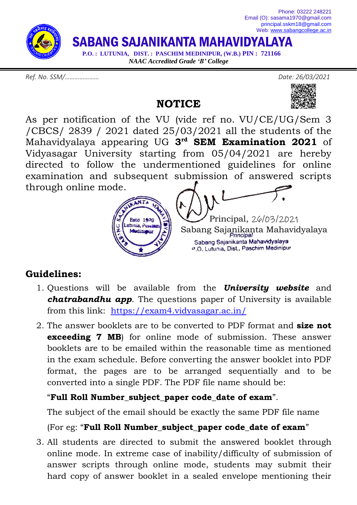

*Ref. No. SSM/………………… Date: 26/03/2021*

**NOTICE**



As per notification of the VU (vide ref no. VU/CE/UG/Sem 3 /CBCS/ 2839 / 2021 dated 25/03/2021 all the students of the Mahavidyalaya appearing UG **3 rd SEM Examination 2021** of Vidyasagar University starting from 05/04/2021 are hereby directed to follow the undermentioned guidelines for online examination and subsequent submission of answered scripts through online mode.



## **Guidelines:**

- 1. Questions will be available from the *University website* and *chatrabandhu app*. The questions paper of University is available from this link: <https://exam4.vidyasagar.ac.in/>
- 2. The answer booklets are to be converted to PDF format and **size not exceeding 7 MB**) for online mode of submission. These answer booklets are to be emailed within the reasonable time as mentioned in the exam schedule. Before converting the answer booklet into PDF format, the pages are to be arranged sequentially and to be converted into a single PDF. The PDF file name should be:

## "**Full Roll Number\_subject\_paper code\_date of exam**".

The subject of the email should be exactly the same PDF file name

## (For eg: "**Full Roll Number\_subject\_paper code\_date of exam**"

3. All students are directed to submit the answered booklet through online mode. In extreme case of inability/difficulty of submission of answer scripts through online mode, students may submit their hard copy of answer booklet in a sealed envelope mentioning their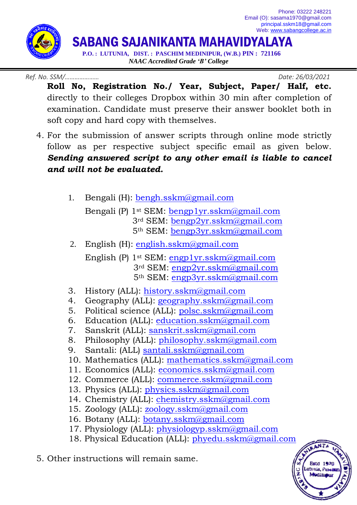Phone: 03222 248221 Email (O): sasama1970@gmail.com [principal.sskm18@gmail.com](mailto:principal.sskm18@gmail.com) Web: [www.sabangcollege.ac.in](http://www.sabangcollege.ac.in/)



SABANG SAJANIKANTA MAHAVIDYALAYA

 **P.O. : LUTUNIA, DIST. : PASCHIM MEDINIPUR, (W.B.) PIN : 721166** *NAAC Accredited Grade 'B' College*

*Ref. No. SSM/………………… Date: 26/03/2021*

- **Roll No, Registration No./ Year, Subject, Paper/ Half, etc.** directly to their colleges Dropbox within 30 min after completion of examination. Candidate must preserve their answer booklet both in soft copy and hard copy with themselves.
- 4. For the submission of answer scripts through online mode strictly follow as per respective subject specific email as given below. *Sending answered script to any other email is liable to cancel and will not be evaluated.*
	- 1. Bengali (H): [bengh.sskm@gmail.com](mailto:bengh.sskm@gmail.com)
		- Bengali (P) 1st SEM: [bengp1yr.sskm@gmail.com](mailto:bengp1yr.sskm@gmail.com) 3rd SEM: [bengp2yr.sskm@gmail.com](mailto:bengp2yr.sskm@gmail.com) 5th SEM: [bengp3yr.sskm@gmail.com](mailto:bengp3yr.sskm@gmail.com)
	- 2. English (H): [english.sskm@gmail.com](mailto:english.sskm@gmail.com) English (P) 1st SEM: [engp1yr.sskm@gmail.com](mailto:engp1yr.sskm@gmail.com)
		- 3rd SEM: [engp2yr.sskm@gmail.com](mailto:engp2yr.sskm@gmail.com) 5th SEM: [engp3yr.sskm@gmail.com](mailto:engp3yr.sskm@gmail.com)
	- 3. History (ALL): [history.sskm@gmail.com](mailto:history.sskm@gmail.com)
	- 4. Geography (ALL): [geography.sskm@gmail.com](mailto:geography.sskm@gmail.com)
	- 5. Political science (ALL): [polsc.sskm@gmail.com](mailto:polsc.sskm@gmail.com)
	- 6. Education (ALL): [education.sskm@gmail.com](mailto:education.sskm@gmail.com)
	- 7. Sanskrit (ALL): [sanskrit.sskm@gmail.com](mailto:sanskrit.sskm@gmail.com)
	- 8. Philosophy (ALL): [philosophy.sskm@gmail.com](mailto:philosophy.sskm@gmail.com)
	- 9. Santali: (ALL) [santali.sskm@gmail.com](mailto:santali.sskm@gmail.com)
	- 10. Mathematics (ALL): [mathematics.sskm@gmail.com](mailto:mathematics.sskm@gmail.com)
	- 11. Economics (ALL): [economics.sskm@gmail.com](mailto:economics.sskm@gmail.com)
	- 12. Commerce (ALL): [commerce.sskm@gmail.com](mailto:commerce.sskm@gmail.com)
	- 13. Physics (ALL): [physics.sskm@gmail.com](mailto:physics.sskm@gmail.com)
	- 14. Chemistry (ALL): [chemistry.sskm@gmail.com](mailto:chemistry.sskm@gmail.com)
	- 15. Zoology (ALL): [zoology.sskm@gmail.com](mailto:zoology.sskm@gmail.com)
	- 16. Botany (ALL): **botany.sskm**@gmail.com
	- 17. Physiology (ALL): [physiologyp.sskm@gmail.com](mailto:physiologyp.sskm@gmail.com)
	- 18. Physical Education (ALL): [phyedu.sskm@gmail.com](mailto:phyedu.sskm@gmail.com)
- 5. Other instructions will remain same.